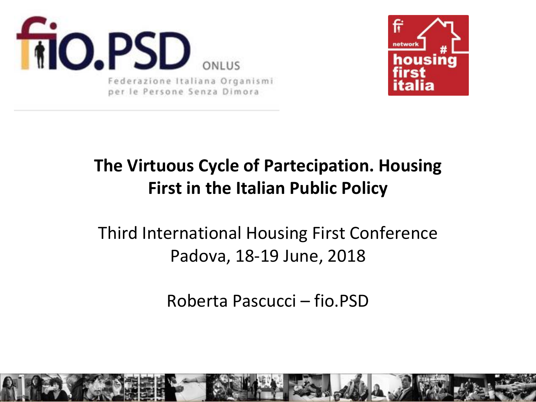



#### **The Virtuous Cycle of Partecipation. Housing First in the Italian Public Policy**

#### Third International Housing First Conference Padova, 18-19 June, 2018

Roberta Pascucci – fio.PSD

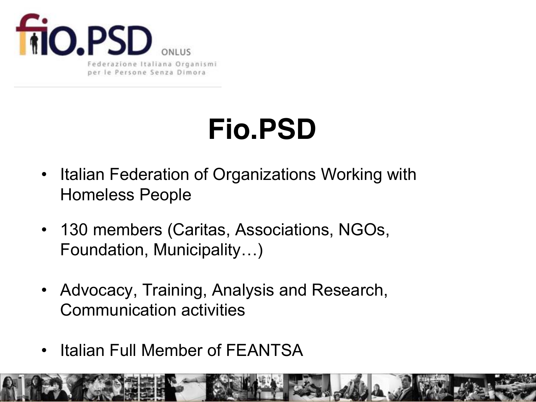

# **Fio.PSD**

- Italian Federation of Organizations Working with Homeless People
- 130 members (Caritas, Associations, NGOs, Foundation, Municipality…)
- Advocacy, Training, Analysis and Research, Communication activities
- **Italian Full Member of FEANTSA**

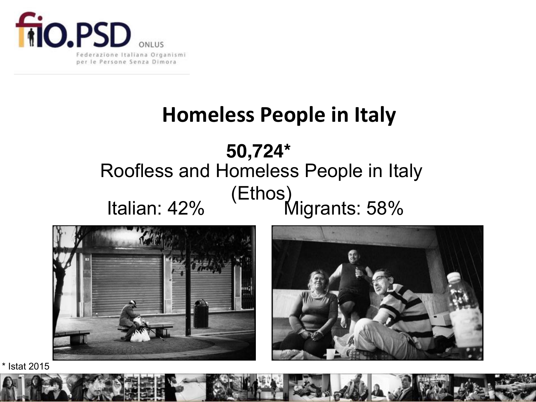

#### **Homeless People in Italy**

## **50,724\***  Roofless and Homeless People in Italy Italian: 42% (Ethos)<br>Italian: 42% (Ethos)



\* Istat 2015

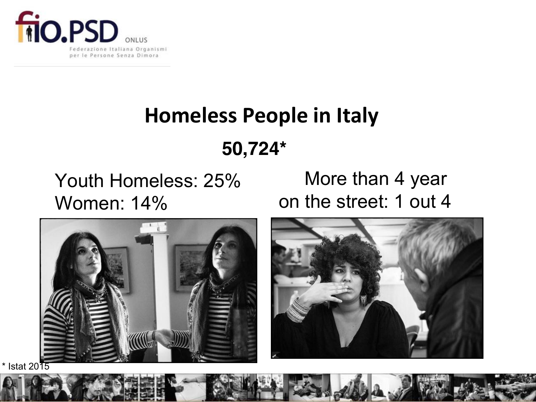

## **Homeless People in Italy**

#### **50,724\***

Youth Homeless: 25% Women: 14%

 More than 4 year on the street: 1 out 4

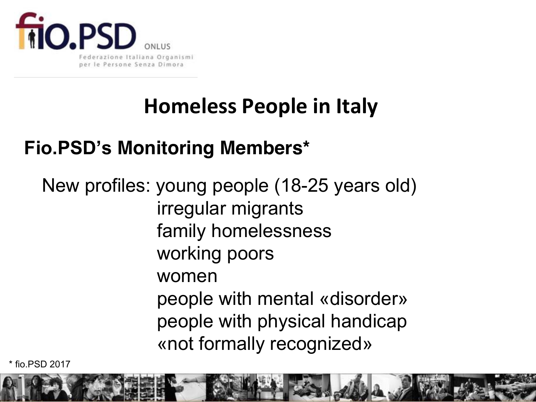

### **Homeless People in Italy**

#### **Fio.PSD's Monitoring Members\***

New profiles: young people (18-25 years old) irregular migrants family homelessness working poors women people with mental «disorder» people with physical handicap «not formally recognized»

\* fio.PSD 2017

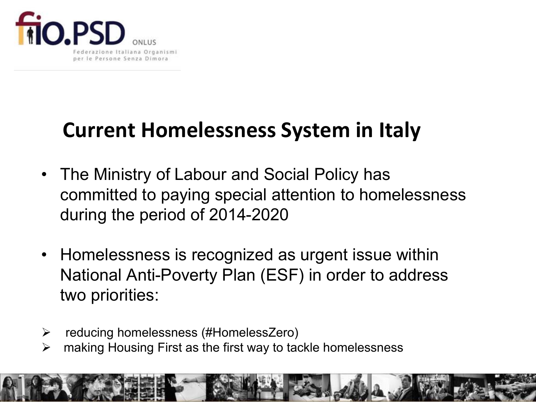

### **Current Homelessness System in Italy**

- The Ministry of Labour and Social Policy has committed to paying special attention to homelessness during the period of 2014-2020
- Homelessness is recognized as urgent issue within National Anti-Poverty Plan (ESF) in order to address two priorities:
- ¾ reducing homelessness (#HomelessZero)
- $\triangleright$  making Housing First as the first way to tackle homelessness

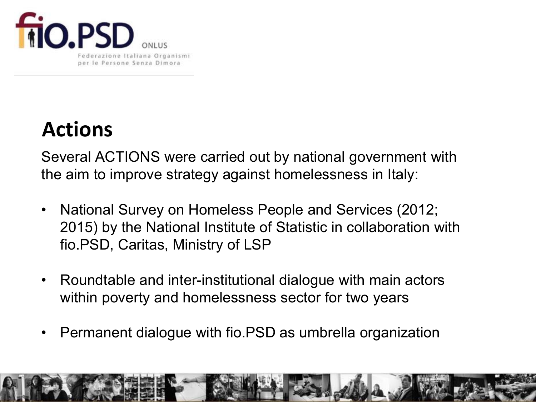

### **Actions**

Several ACTIONS were carried out by national government with the aim to improve strategy against homelessness in Italy:

- National Survey on Homeless People and Services (2012; 2015) by the National Institute of Statistic in collaboration with fio.PSD, Caritas, Ministry of LSP
- Roundtable and inter-institutional dialogue with main actors within poverty and homelessness sector for two years
- Permanent dialogue with fio.PSD as umbrella organization

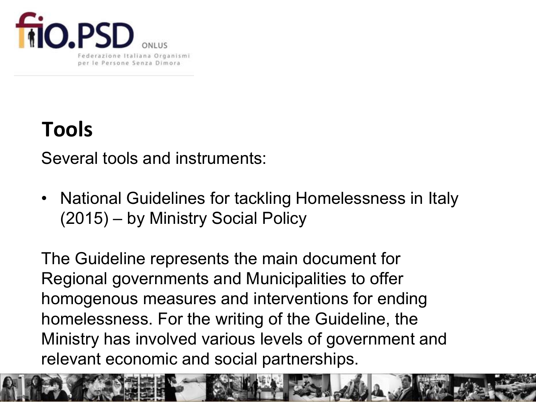

## **Tools**

Several tools and instruments:

• National Guidelines for tackling Homelessness in Italy (2015) – by Ministry Social Policy

The Guideline represents the main document for Regional governments and Municipalities to offer homogenous measures and interventions for ending homelessness. For the writing of the Guideline, the Ministry has involved various levels of government and relevant economic and social partnerships.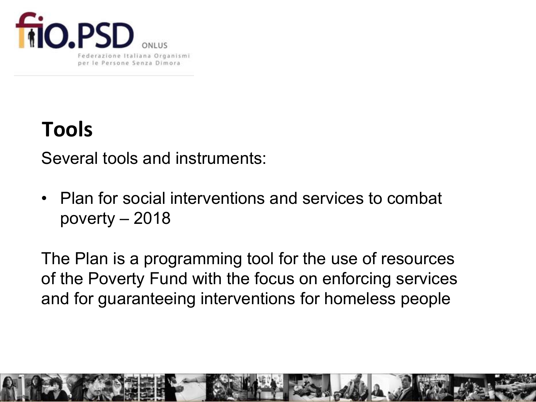

## **Tools**

Several tools and instruments:

• Plan for social interventions and services to combat poverty – 2018

The Plan is a programming tool for the use of resources of the Poverty Fund with the focus on enforcing services and for guaranteeing interventions for homeless people

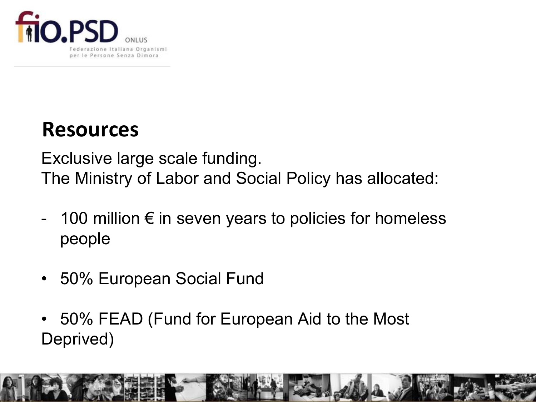

#### **Resources**

Exclusive large scale funding. The Ministry of Labor and Social Policy has allocated:

- 100 million  $\epsilon$  in seven years to policies for homeless people
- 50% European Social Fund
- 50% FEAD (Fund for European Aid to the Most Deprived)

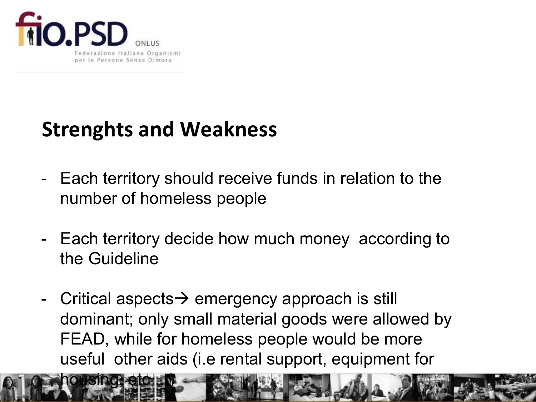

housing, etc ...

### **Strenghts and Weakness**

- Each territory should receive funds in relation to the number of homeless people
- Each territory decide how much money according to the Guideline
- Critical aspects  $\rightarrow$  emergency approach is still dominant; only small material goods were allowed by FEAD, while for homeless people would be more useful other aids (i.e rental support, equipment for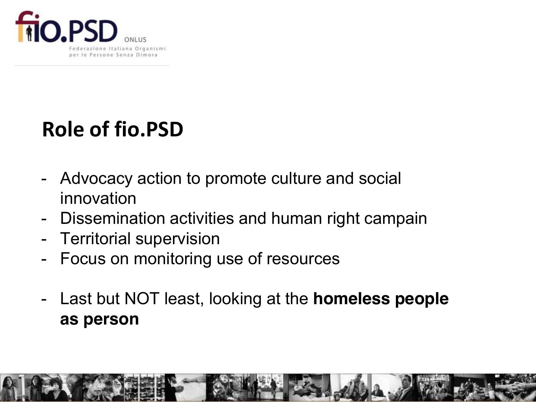

### **Role of fio.PSD**

- Advocacy action to promote culture and social innovation
- Dissemination activities and human right campain
- Territorial supervision
- Focus on monitoring use of resources
- Last but NOT least, looking at the **homeless people as person**

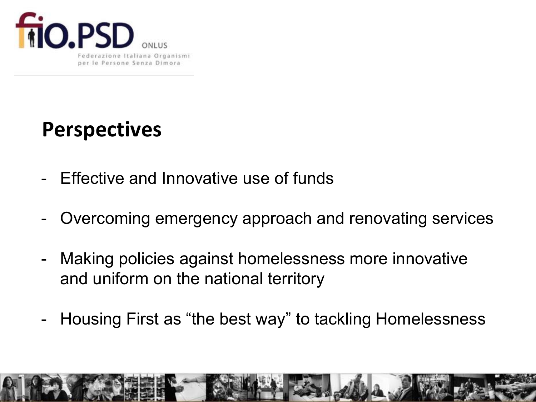

### **Perspectives**

- Effective and Innovative use of funds
- Overcoming emergency approach and renovating services
- Making policies against homelessness more innovative and uniform on the national territory
- Housing First as "the best way" to tackling Homelessness

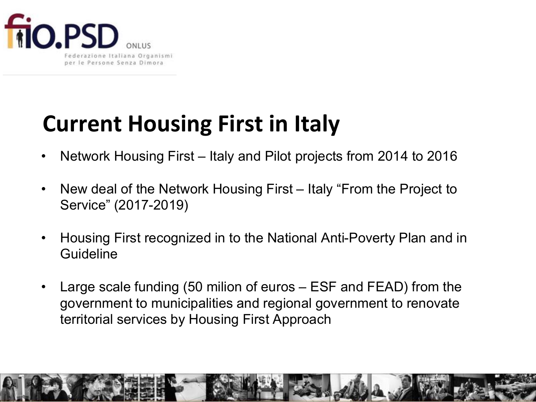

## **Current Housing First in Italy**

- Network Housing First Italy and Pilot projects from 2014 to 2016
- New deal of the Network Housing First Italy "From the Project to Service" (2017-2019)
- Housing First recognized in to the National Anti-Poverty Plan and in **Guideline**
- Large scale funding (50 milion of euros ESF and FEAD) from the government to municipalities and regional government to renovate territorial services by Housing First Approach

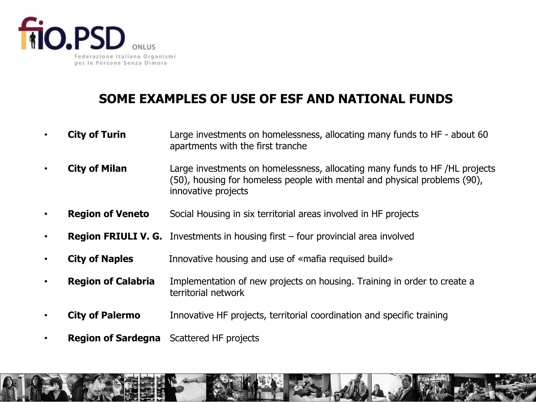

#### **SOME EXAMPLES OF USE OF ESF AND NATIONAL FUNDS**

- **City of Turin** Large investments on homelessness, allocating many funds to HF about 60 apartments with the first tranche
- **City of Milan** Large investments on homelessness, allocating many funds to HF /HL projects (50), housing for homeless people with mental and physical problems (90), innovative projects
- **Region of Veneto** Social Housing in six territorial areas involved in HF projects
- **Region FRIULI V. G.** Investments in housing first four provincial area involved
- **City of Naples Innovative housing and use of «mafia requised build»**
- **Region of Calabria** Implementation of new projects on housing. Training in order to create a territorial network
- **City of Palermo** Innovative HF projects, territorial coordination and specific training
- **Region of Sardegna** Scattered HF projects

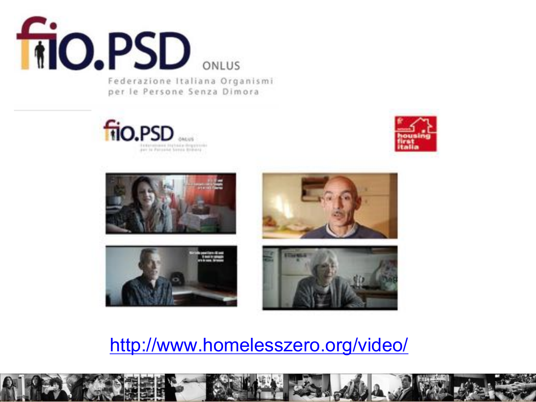

Federazione Italiana Organismi per le Persone Senza Dimora













<http://www.homelesszero.org/video/>